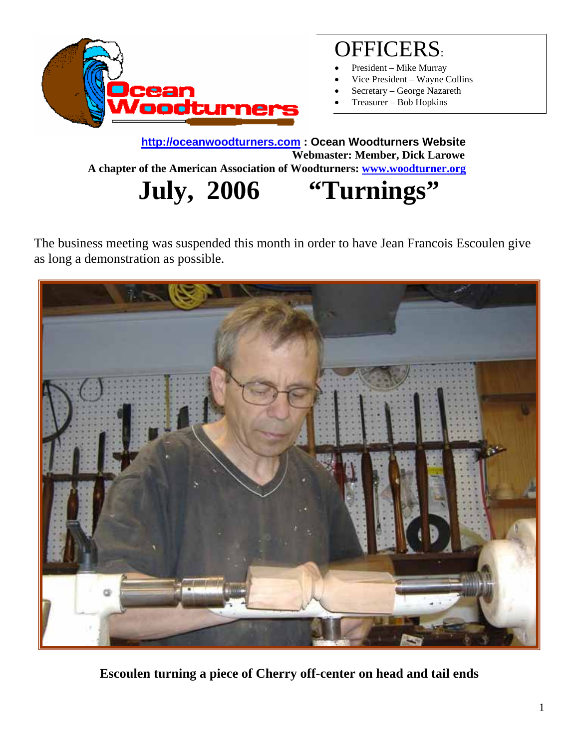

### OFFICERS:

- President Mike Murray
- Vice President Wayne Collins
- Secretary George Nazareth
- Treasurer Bob Hopkins

**[http://oceanwoodturners.com](http://oceanwoodturners.com/) : Ocean Woodturners Website Webmaster: Member, Dick Larowe A chapter of the American Association of Woodturners: [www.woodturner.org](http://www.woodturner.org/)** 

**July, 2006 "Turnings"** 

The business meeting was suspended this month in order to have Jean Francois Escoulen give as long a demonstration as possible.



**Escoulen turning a piece of Cherry off-center on head and tail ends**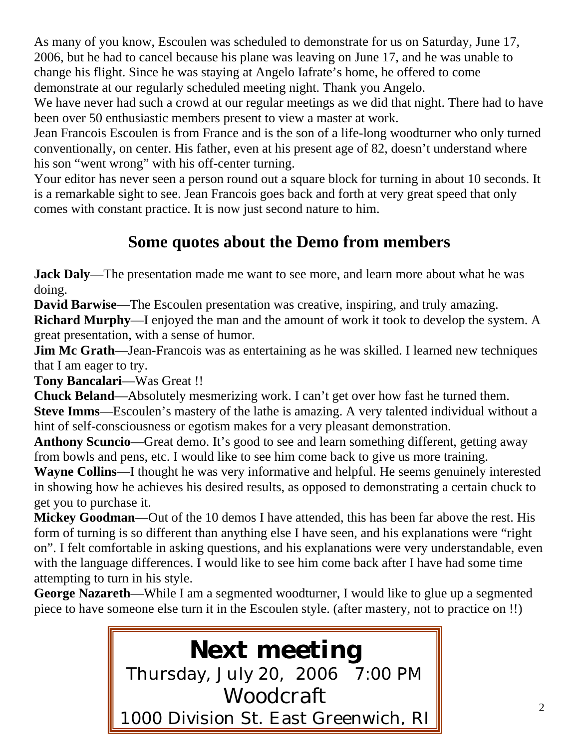As many of you know, Escoulen was scheduled to demonstrate for us on Saturday, June 17, 2006, but he had to cancel because his plane was leaving on June 17, and he was unable to change his flight. Since he was staying at Angelo Iafrate's home, he offered to come demonstrate at our regularly scheduled meeting night. Thank you Angelo.

We have never had such a crowd at our regular meetings as we did that night. There had to have been over 50 enthusiastic members present to view a master at work.

Jean Francois Escoulen is from France and is the son of a life-long woodturner who only turned conventionally, on center. His father, even at his present age of 82, doesn't understand where his son "went wrong" with his off-center turning.

Your editor has never seen a person round out a square block for turning in about 10 seconds. It is a remarkable sight to see. Jean Francois goes back and forth at very great speed that only comes with constant practice. It is now just second nature to him.

#### **Some quotes about the Demo from members**

**Jack Daly**—The presentation made me want to see more, and learn more about what he was doing.

**David Barwise**—The Escoulen presentation was creative, inspiring, and truly amazing.

**Richard Murphy**—I enjoyed the man and the amount of work it took to develop the system. A great presentation, with a sense of humor.

**Jim Mc Grath**—Jean-Francois was as entertaining as he was skilled. I learned new techniques that I am eager to try.

**Tony Bancalari**—Was Great !!

**Chuck Beland**—Absolutely mesmerizing work. I can't get over how fast he turned them. **Steve Imms**—Escoulen's mastery of the lathe is amazing. A very talented individual without a hint of self-consciousness or egotism makes for a very pleasant demonstration.

**Anthony Scuncio**—Great demo. It's good to see and learn something different, getting away from bowls and pens, etc. I would like to see him come back to give us more training.

**Wayne Collins**—I thought he was very informative and helpful. He seems genuinely interested in showing how he achieves his desired results, as opposed to demonstrating a certain chuck to get you to purchase it.

**Mickey Goodman**—Out of the 10 demos I have attended, this has been far above the rest. His form of turning is so different than anything else I have seen, and his explanations were "right on". I felt comfortable in asking questions, and his explanations were very understandable, even with the language differences. I would like to see him come back after I have had some time attempting to turn in his style.

**George Nazareth**—While I am a segmented woodturner, I would like to glue up a segmented piece to have someone else turn it in the Escoulen style. (after mastery, not to practice on !!)

# **Next meeting**

Thursday, July 20, 2006 7:00 PM Woodcraft 1000 Division St. East Greenwich, RI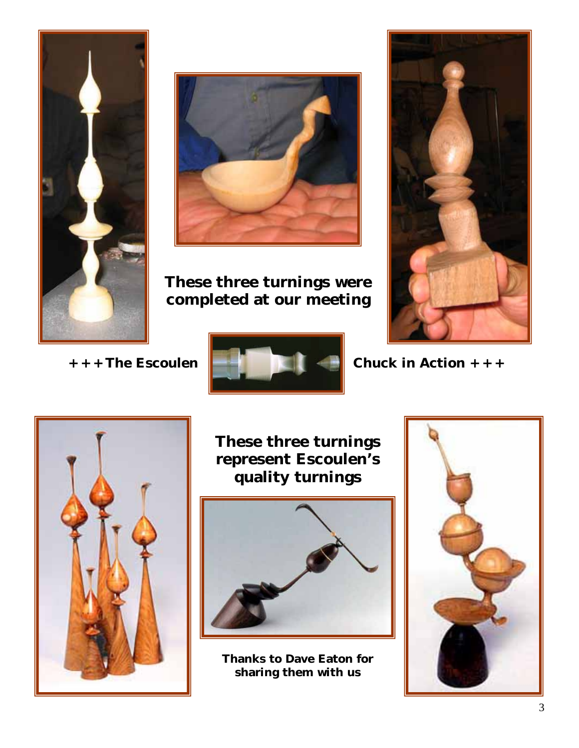



**These three turnings were completed at our meeting** 



+ + + The Escoulen



**+ + + The Esco Chuck in Action + + +**



**These three turnings represent Escoulen's quality turnings** 



**Thanks to Dave Eaton for sharing them with us**